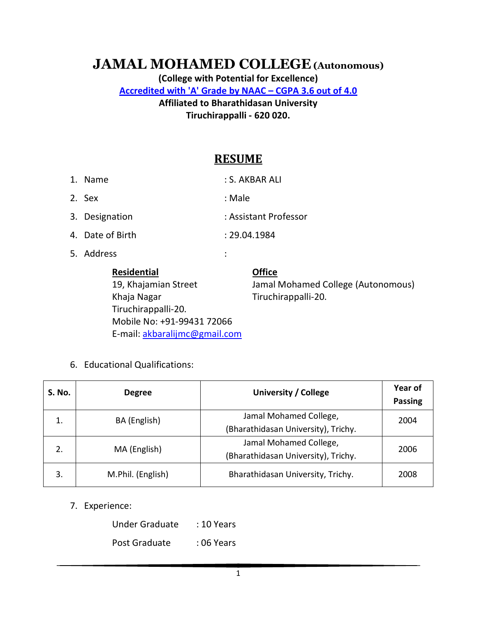# **JAMAL MOHAMED COLLEGE (Autonomous)**

**(College with Potential for Excellence) Accredited with 'A' Grade by NAAC – CGPA 3.6 out of 4.0 Affiliated to Bharathidasan University Tiruchirappalli - 620 020.** 

# **RESUME**

| <b>Residential</b><br>10 Khaiamian Stroot | <b>Office</b><br>lamal Mohamod Collogo (Autonomou |
|-------------------------------------------|---------------------------------------------------|
| 5. Address                                | $\ddot{\cdot}$                                    |
| 4. Date of Birth                          | : 29.04.1984                                      |
| 3. Designation                            | : Assistant Professor                             |
| 2. Sex                                    | : Male                                            |
| 1. Name                                   | : S. AKBAR ALI                                    |

Khaja Nagar Tiruchirappalli-20. Tiruchirappalli-20. Mobile No: +91-99431 72066 E-mail: akbaralijmc@gmail.com

19, Khajamian Street Jamal Mohamed College (Autonomous)

6. Educational Qualifications:

| S. No. | <b>Degree</b>     | University / College                | Year of<br><b>Passing</b> |
|--------|-------------------|-------------------------------------|---------------------------|
| 1.     | BA (English)      | Jamal Mohamed College,              | 2004                      |
|        |                   | (Bharathidasan University), Trichy. |                           |
| 2.     | MA (English)      | Jamal Mohamed College,              | 2006                      |
|        |                   | (Bharathidasan University), Trichy. |                           |
| 3.     | M.Phil. (English) | Bharathidasan University, Trichy.   | 2008                      |

7. Experience:

Under Graduate : 10 Years

Post Graduate : 06 Years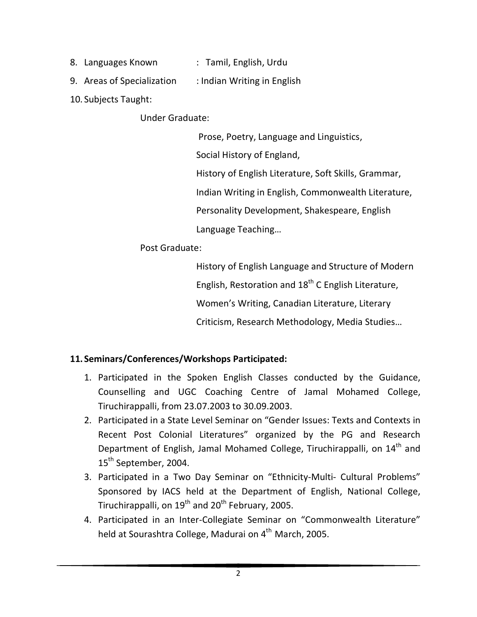- 8. Languages Known : Tamil, English, Urdu
- 9. Areas of Specialization : Indian Writing in English
- 10. Subjects Taught:

Under Graduate:

Prose, Poetry, Language and Linguistics,

Social History of England,

History of English Literature, Soft Skills, Grammar,

Indian Writing in English, Commonwealth Literature,

Personality Development, Shakespeare, English

Language Teaching…

Post Graduate:

 History of English Language and Structure of Modern English, Restoration and  $18<sup>th</sup>$  C English Literature,

Women's Writing, Canadian Literature, Literary

Criticism, Research Methodology, Media Studies…

# **11. Seminars/Conferences/Workshops Participated:**

- 1. Participated in the Spoken English Classes conducted by the Guidance, Counselling and UGC Coaching Centre of Jamal Mohamed College, Tiruchirappalli, from 23.07.2003 to 30.09.2003.
- 2. Participated in a State Level Seminar on "Gender Issues: Texts and Contexts in Recent Post Colonial Literatures" organized by the PG and Research Department of English, Jamal Mohamed College, Tiruchirappalli, on 14<sup>th</sup> and 15<sup>th</sup> September, 2004.
- 3. Participated in a Two Day Seminar on "Ethnicity-Multi- Cultural Problems" Sponsored by IACS held at the Department of English, National College, Tiruchirappalli, on  $19^{th}$  and  $20^{th}$  February, 2005.
- 4. Participated in an Inter-Collegiate Seminar on "Commonwealth Literature" held at Sourashtra College, Madurai on 4<sup>th</sup> March, 2005.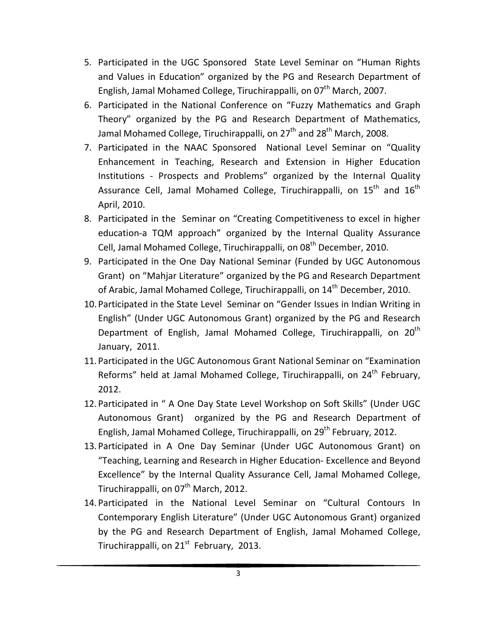- 5. Participated in the UGC Sponsored State Level Seminar on "Human Rights and Values in Education" organized by the PG and Research Department of English, Jamal Mohamed College, Tiruchirappalli, on 07<sup>th</sup> March, 2007.
- 6. Participated in the National Conference on "Fuzzy Mathematics and Graph Theory" organized by the PG and Research Department of Mathematics, Jamal Mohamed College, Tiruchirappalli, on  $27<sup>th</sup>$  and  $28<sup>th</sup>$  March, 2008.
- 7. Participated in the NAAC Sponsored National Level Seminar on "Quality Enhancement in Teaching, Research and Extension in Higher Education Institutions - Prospects and Problems" organized by the Internal Quality Assurance Cell, Jamal Mohamed College, Tiruchirappalli, on 15<sup>th</sup> and 16<sup>th</sup> April, 2010.
- 8. Participated in the Seminar on "Creating Competitiveness to excel in higher education-a TQM approach" organized by the Internal Quality Assurance Cell, Jamal Mohamed College, Tiruchirappalli, on 08<sup>th</sup> December, 2010.
- 9. Participated in the One Day National Seminar (Funded by UGC Autonomous Grant) on "Mahjar Literature" organized by the PG and Research Department of Arabic, Jamal Mohamed College, Tiruchirappalli, on 14<sup>th</sup> December, 2010.
- 10. Participated in the State Level Seminar on "Gender Issues in Indian Writing in English" (Under UGC Autonomous Grant) organized by the PG and Research Department of English, Jamal Mohamed College, Tiruchirappalli, on 20<sup>th</sup> January, 2011.
- 11. Participated in the UGC Autonomous Grant National Seminar on "Examination Reforms" held at Jamal Mohamed College, Tiruchirappalli, on 24<sup>th</sup> February, 2012.
- 12. Participated in " A One Day State Level Workshop on Soft Skills" (Under UGC Autonomous Grant) organized by the PG and Research Department of English, Jamal Mohamed College, Tiruchirappalli, on 29<sup>th</sup> February, 2012.
- 13. Participated in A One Day Seminar (Under UGC Autonomous Grant) on "Teaching, Learning and Research in Higher Education- Excellence and Beyond Excellence" by the Internal Quality Assurance Cell, Jamal Mohamed College, Tiruchirappalli, on 07<sup>th</sup> March, 2012.
- 14. Participated in the National Level Seminar on "Cultural Contours In Contemporary English Literature" (Under UGC Autonomous Grant) organized by the PG and Research Department of English, Jamal Mohamed College, Tiruchirappalli, on 21<sup>st</sup> February, 2013.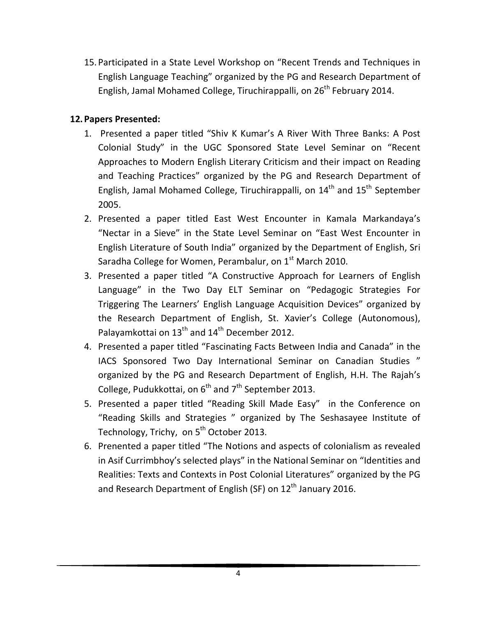15. Participated in a State Level Workshop on "Recent Trends and Techniques in English Language Teaching" organized by the PG and Research Department of English, Jamal Mohamed College, Tiruchirappalli, on 26<sup>th</sup> February 2014.

#### **12.Papers Presented:**

- 1. Presented a paper titled "Shiv K Kumar's A River With Three Banks: A Post Colonial Study" in the UGC Sponsored State Level Seminar on "Recent Approaches to Modern English Literary Criticism and their impact on Reading and Teaching Practices" organized by the PG and Research Department of English, Jamal Mohamed College, Tiruchirappalli, on  $14<sup>th</sup>$  and  $15<sup>th</sup>$  September 2005.
- 2. Presented a paper titled East West Encounter in Kamala Markandaya's "Nectar in a Sieve" in the State Level Seminar on "East West Encounter in English Literature of South India" organized by the Department of English, Sri Saradha College for Women, Perambalur, on 1<sup>st</sup> March 2010.
- 3. Presented a paper titled "A Constructive Approach for Learners of English Language" in the Two Day ELT Seminar on "Pedagogic Strategies For Triggering The Learners' English Language Acquisition Devices" organized by the Research Department of English, St. Xavier's College (Autonomous), Palayamkottai on 13<sup>th</sup> and 14<sup>th</sup> December 2012.
- 4. Presented a paper titled "Fascinating Facts Between India and Canada" in the IACS Sponsored Two Day International Seminar on Canadian Studies " organized by the PG and Research Department of English, H.H. The Rajah's College, Pudukkottai, on  $6<sup>th</sup>$  and  $7<sup>th</sup>$  September 2013.
- 5. Presented a paper titled "Reading Skill Made Easy" in the Conference on "Reading Skills and Strategies " organized by The Seshasayee Institute of Technology, Trichy, on 5<sup>th</sup> October 2013.
- 6. Prenented a paper titled "The Notions and aspects of colonialism as revealed in Asif Currimbhoy's selected plays" in the National Seminar on "Identities and Realities: Texts and Contexts in Post Colonial Literatures" organized by the PG and Research Department of English (SF) on  $12<sup>th</sup>$  January 2016.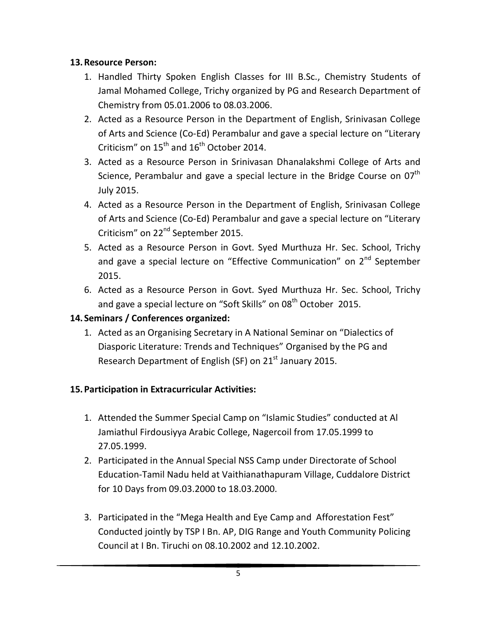#### **13.Resource Person:**

- 1. Handled Thirty Spoken English Classes for III B.Sc., Chemistry Students of Jamal Mohamed College, Trichy organized by PG and Research Department of Chemistry from 05.01.2006 to 08.03.2006.
- 2. Acted as a Resource Person in the Department of English, Srinivasan College of Arts and Science (Co-Ed) Perambalur and gave a special lecture on "Literary Criticism" on  $15<sup>th</sup>$  and  $16<sup>th</sup>$  October 2014.
- 3. Acted as a Resource Person in Srinivasan Dhanalakshmi College of Arts and Science, Perambalur and gave a special lecture in the Bridge Course on  $07<sup>th</sup>$ July 2015.
- 4. Acted as a Resource Person in the Department of English, Srinivasan College of Arts and Science (Co-Ed) Perambalur and gave a special lecture on "Literary Criticism" on 22<sup>nd</sup> September 2015.
- 5. Acted as a Resource Person in Govt. Syed Murthuza Hr. Sec. School, Trichy and gave a special lecture on "Effective Communication" on 2<sup>nd</sup> September 2015.
- 6. Acted as a Resource Person in Govt. Syed Murthuza Hr. Sec. School, Trichy and gave a special lecture on "Soft Skills" on 08<sup>th</sup> October 2015.

# **14. Seminars / Conferences organized:**

1. Acted as an Organising Secretary in A National Seminar on "Dialectics of Diasporic Literature: Trends and Techniques" Organised by the PG and Research Department of English (SF) on  $21<sup>st</sup>$  January 2015.

#### **15.Participation in Extracurricular Activities:**

- 1. Attended the Summer Special Camp on "Islamic Studies" conducted at Al Jamiathul Firdousiyya Arabic College, Nagercoil from 17.05.1999 to 27.05.1999.
- 2. Participated in the Annual Special NSS Camp under Directorate of School Education-Tamil Nadu held at Vaithianathapuram Village, Cuddalore District for 10 Days from 09.03.2000 to 18.03.2000.
- 3. Participated in the "Mega Health and Eye Camp and Afforestation Fest" Conducted jointly by TSP I Bn. AP, DIG Range and Youth Community Policing Council at I Bn. Tiruchi on 08.10.2002 and 12.10.2002.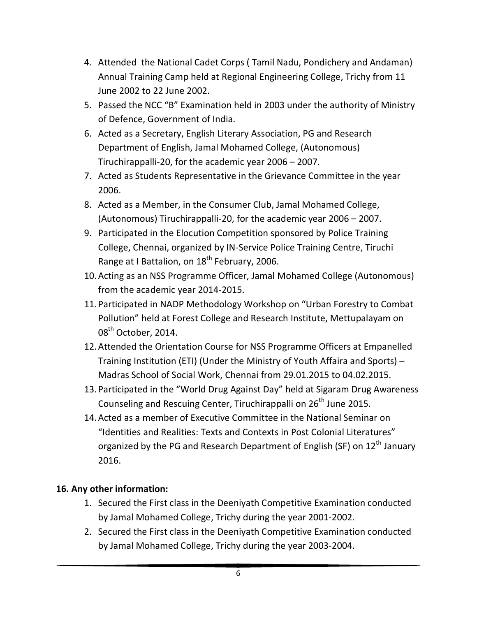- 4. Attended the National Cadet Corps ( Tamil Nadu, Pondichery and Andaman) Annual Training Camp held at Regional Engineering College, Trichy from 11 June 2002 to 22 June 2002.
- 5. Passed the NCC "B" Examination held in 2003 under the authority of Ministry of Defence, Government of India.
- 6. Acted as a Secretary, English Literary Association, PG and Research Department of English, Jamal Mohamed College, (Autonomous) Tiruchirappalli-20, for the academic year 2006 – 2007.
- 7. Acted as Students Representative in the Grievance Committee in the year 2006.
- 8. Acted as a Member, in the Consumer Club, Jamal Mohamed College, (Autonomous) Tiruchirappalli-20, for the academic year 2006 – 2007.
- 9. Participated in the Elocution Competition sponsored by Police Training College, Chennai, organized by IN-Service Police Training Centre, Tiruchi Range at I Battalion, on  $18<sup>th</sup>$  February, 2006.
- 10.Acting as an NSS Programme Officer, Jamal Mohamed College (Autonomous) from the academic year 2014-2015.
- 11. Participated in NADP Methodology Workshop on "Urban Forestry to Combat Pollution" held at Forest College and Research Institute, Mettupalayam on 08<sup>th</sup> October, 2014.
- 12.Attended the Orientation Course for NSS Programme Officers at Empanelled Training Institution (ETI) (Under the Ministry of Youth Affaira and Sports) – Madras School of Social Work, Chennai from 29.01.2015 to 04.02.2015.
- 13. Participated in the "World Drug Against Day" held at Sigaram Drug Awareness Counseling and Rescuing Center, Tiruchirappalli on 26<sup>th</sup> June 2015.
- 14.Acted as a member of Executive Committee in the National Seminar on "Identities and Realities: Texts and Contexts in Post Colonial Literatures" organized by the PG and Research Department of English (SF) on 12<sup>th</sup> January 2016.

# **16. Any other information:**

- 1. Secured the First class in the Deeniyath Competitive Examination conducted by Jamal Mohamed College, Trichy during the year 2001-2002.
- 2. Secured the First class in the Deeniyath Competitive Examination conducted by Jamal Mohamed College, Trichy during the year 2003-2004.